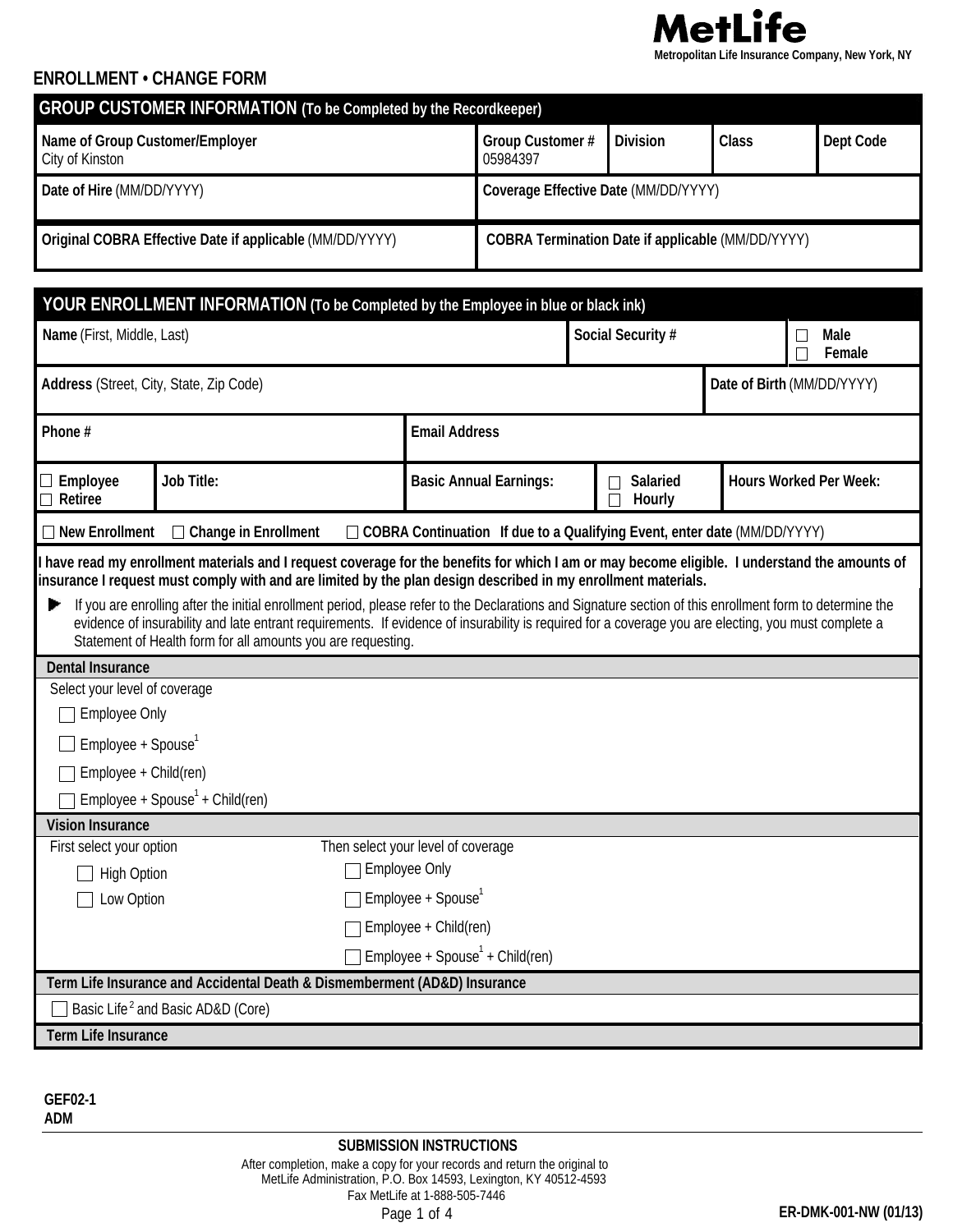

## **ENROLLMENT • CHANGE FORM**

| <b>GROUP CUSTOMER INFORMATION (To be Completed by the Recordkeeper)</b> |                                                          |                 |       |                  |  |  |  |
|-------------------------------------------------------------------------|----------------------------------------------------------|-----------------|-------|------------------|--|--|--|
| Name of Group Customer/Employer<br>City of Kinston                      | <b>Group Customer#</b><br>05984397                       | <b>Division</b> | Class | <b>Dept Code</b> |  |  |  |
| Date of Hire (MM/DD/YYYY)                                               | Coverage Effective Date (MM/DD/YYYY)                     |                 |       |                  |  |  |  |
| Original COBRA Effective Date if applicable (MM/DD/YYYY)                | <b>COBRA Termination Date if applicable (MM/DD/YYYY)</b> |                 |       |                  |  |  |  |

|                                                                                                                                                                                                                                                                                                                                                                                                                                                                                                                                                                                                                                    | YOUR ENROLLMENT INFORMATION (To be Completed by the Employee in blue or black ink)                                                                          |                                |                               |  |  |  |  |
|------------------------------------------------------------------------------------------------------------------------------------------------------------------------------------------------------------------------------------------------------------------------------------------------------------------------------------------------------------------------------------------------------------------------------------------------------------------------------------------------------------------------------------------------------------------------------------------------------------------------------------|-------------------------------------------------------------------------------------------------------------------------------------------------------------|--------------------------------|-------------------------------|--|--|--|--|
| Name (First, Middle, Last)                                                                                                                                                                                                                                                                                                                                                                                                                                                                                                                                                                                                         |                                                                                                                                                             | Social Security #              | <b>Male</b><br>Female         |  |  |  |  |
| Address (Street, City, State, Zip Code)                                                                                                                                                                                                                                                                                                                                                                                                                                                                                                                                                                                            |                                                                                                                                                             | Date of Birth (MM/DD/YYYY)     |                               |  |  |  |  |
| Phone#                                                                                                                                                                                                                                                                                                                                                                                                                                                                                                                                                                                                                             | <b>Email Address</b>                                                                                                                                        |                                |                               |  |  |  |  |
| <b>Job Title:</b><br>$\Box$ Employee<br><b>Retiree</b><br>┓                                                                                                                                                                                                                                                                                                                                                                                                                                                                                                                                                                        | <b>Basic Annual Earnings:</b>                                                                                                                               | <b>Salaried</b><br>H<br>Hourly | <b>Hours Worked Per Week:</b> |  |  |  |  |
| □ COBRA Continuation If due to a Qualifying Event, enter date (MM/DD/YYYY)<br>$\Box$ New Enrollment<br><b>Change in Enrollment</b>                                                                                                                                                                                                                                                                                                                                                                                                                                                                                                 |                                                                                                                                                             |                                |                               |  |  |  |  |
| insurance I request must comply with and are limited by the plan design described in my enrollment materials.<br>If you are enrolling after the initial enrollment period, please refer to the Declarations and Signature section of this enrollment form to determine the<br>▸<br>evidence of insurability and late entrant requirements. If evidence of insurability is required for a coverage you are electing, you must complete a<br>Statement of Health form for all amounts you are requesting.<br><b>Dental Insurance</b><br>Select your level of coverage<br>Employee Only<br>Employee + Spouse<br>Employee + Child(ren) |                                                                                                                                                             |                                |                               |  |  |  |  |
| Employee + $Spouse1 + Child (ren)$                                                                                                                                                                                                                                                                                                                                                                                                                                                                                                                                                                                                 |                                                                                                                                                             |                                |                               |  |  |  |  |
| <b>Vision Insurance</b><br>First select your option<br><b>High Option</b><br>Low Option<br>Term Life Insurance and Accidental Death & Dismemberment (AD&D) Insurance<br>Basic Life <sup>2</sup> and Basic AD&D (Core)                                                                                                                                                                                                                                                                                                                                                                                                              | Then select your level of coverage<br><b>Employee Only</b><br>Employee + Spouse <sup>1</sup><br>Employee + Child(ren)<br>Employee + $Spouse1 + Child (ren)$ |                                |                               |  |  |  |  |
| <b>Term Life Insurance</b>                                                                                                                                                                                                                                                                                                                                                                                                                                                                                                                                                                                                         |                                                                                                                                                             |                                |                               |  |  |  |  |

**GEF02-1 ADM**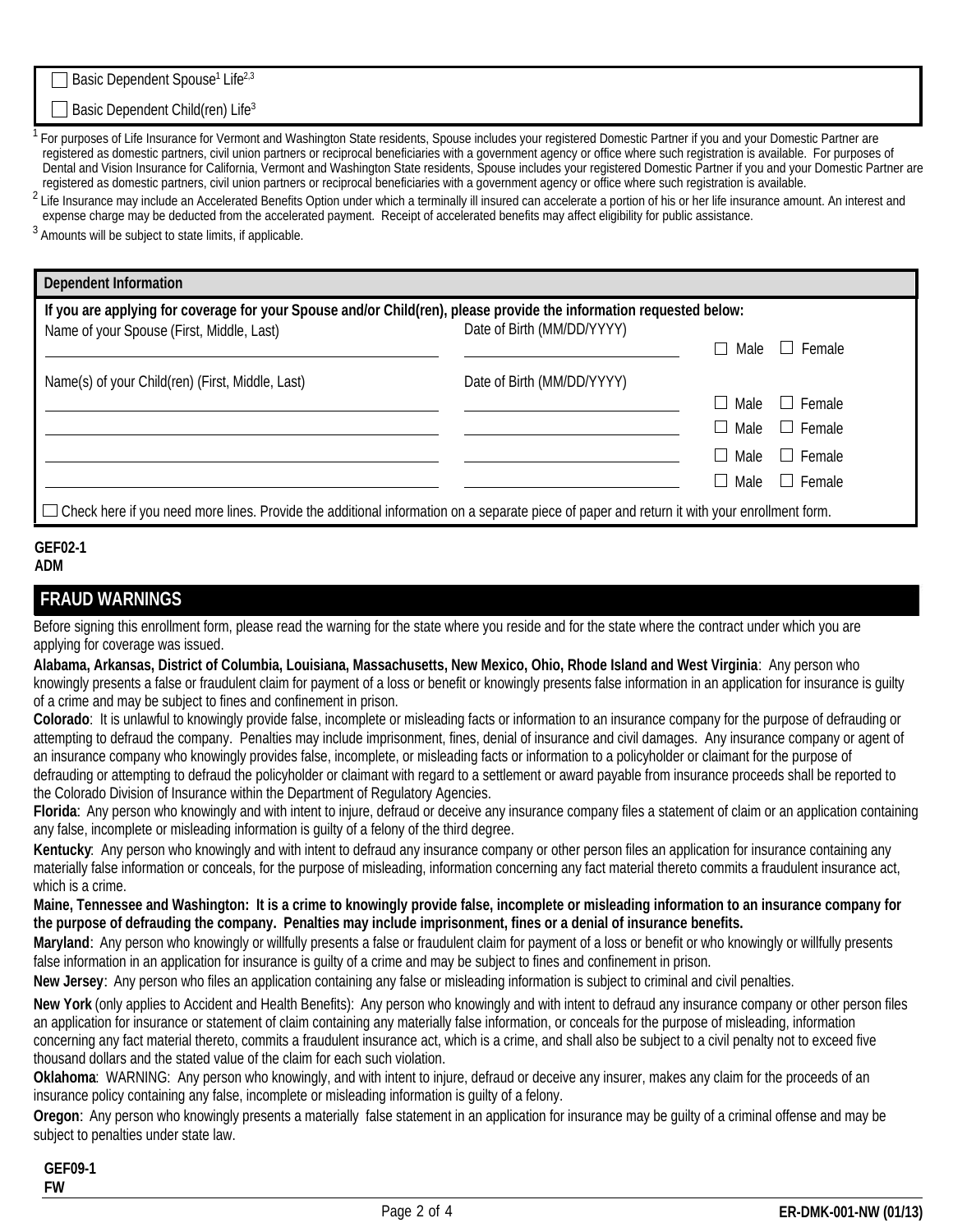Basic Dependent Spouse<sup>1</sup> Life<sup>2,3</sup>

#### Basic Dependent Child(ren) Life<sup>3</sup>

For purposes of Life Insurance for Vermont and Washington State residents, Spouse includes your registered Domestic Partner if you and your Domestic Partner are registered as domestic partners, civil union partners or reciprocal beneficiaries with a government agency or office where such registration is available. For purposes of Dental and Vision Insurance for California, Vermont and Washington State residents, Spouse includes your registered Domestic Partner if you and your Domestic Partner are registered as domestic partners, civil union partners or reciprocal beneficiaries with a government agency or office where such registration is available.

<sup>2</sup> Life Insurance may include an Accelerated Benefits Option under which a terminally ill insured can accelerate a portion of his or her life insurance amount. An interest and expense charge may be deducted from the accelerated payment. Receipt of accelerated benefits may affect eligibility for public assistance.

<sup>3</sup> Amounts will be subject to state limits, if applicable.

| <b>Dependent Information</b>                                                                                                                  |                            |                       |  |  |  |
|-----------------------------------------------------------------------------------------------------------------------------------------------|----------------------------|-----------------------|--|--|--|
| If you are applying for coverage for your Spouse and/or Child(ren), please provide the information requested below:                           |                            |                       |  |  |  |
| Name of your Spouse (First, Middle, Last)                                                                                                     | Date of Birth (MM/DD/YYYY) |                       |  |  |  |
|                                                                                                                                               |                            | II Female<br>Male     |  |  |  |
| Name(s) of your Child(ren) (First, Middle, Last)                                                                                              | Date of Birth (MM/DD/YYYY) |                       |  |  |  |
|                                                                                                                                               |                            | $\Box$ Female<br>Male |  |  |  |
|                                                                                                                                               |                            | Male<br>$\Box$ Female |  |  |  |
|                                                                                                                                               |                            | II Female<br>Male     |  |  |  |
|                                                                                                                                               |                            | □ Female<br>Male      |  |  |  |
| □ Check here if you need more lines. Provide the additional information on a separate piece of paper and return it with your enrollment form. |                            |                       |  |  |  |

#### **GEF02-1 ADM**

## **FRAUD WARNINGS**

Before signing this enrollment form, please read the warning for the state where you reside and for the state where the contract under which you are applying for coverage was issued.

**Alabama, Arkansas, District of Columbia, Louisiana, Massachusetts, New Mexico, Ohio, Rhode Island and West Virginia**: Any person who knowingly presents a false or fraudulent claim for payment of a loss or benefit or knowingly presents false information in an application for insurance is guilty of a crime and may be subject to fines and confinement in prison.

**Colorado**: It is unlawful to knowingly provide false, incomplete or misleading facts or information to an insurance company for the purpose of defrauding or attempting to defraud the company. Penalties may include imprisonment, fines, denial of insurance and civil damages. Any insurance company or agent of an insurance company who knowingly provides false, incomplete, or misleading facts or information to a policyholder or claimant for the purpose of defrauding or attempting to defraud the policyholder or claimant with regard to a settlement or award payable from insurance proceeds shall be reported to the Colorado Division of Insurance within the Department of Regulatory Agencies.

**Florida**:Any person who knowingly and with intent to injure, defraud or deceive any insurance company files a statement of claim or an application containing any false, incomplete or misleading information is guilty of a felony of the third degree.

**Kentucky**: Any person who knowingly and with intent to defraud any insurance company or other person files an application for insurance containing any materially false information or conceals, for the purpose of misleading, information concerning any fact material thereto commits a fraudulent insurance act, which is a crime.

**Maine, Tennessee and Washington: It is a crime to knowingly provide false, incomplete or misleading information to an insurance company for the purpose of defrauding the company. Penalties may include imprisonment, fines or a denial of insurance benefits.** 

**Maryland**:Any person who knowingly or willfully presents a false or fraudulent claim for payment of a loss or benefit or who knowingly or willfully presents false information in an application for insurance is guilty of a crime and may be subject to fines and confinement in prison.

**New Jersey**:Any person who files an application containing any false or misleading information is subject to criminal and civil penalties.

**New York** (only applies to Accident and Health Benefits): Any person who knowingly and with intent to defraud any insurance company or other person files an application for insurance or statement of claim containing any materially false information, or conceals for the purpose of misleading, information concerning any fact material thereto, commits a fraudulent insurance act, which is a crime, and shall also be subject to a civil penalty not to exceed five thousand dollars and the stated value of the claim for each such violation.

**Oklahoma**: WARNING: Any person who knowingly, and with intent to injure, defraud or deceive any insurer, makes any claim for the proceeds of an insurance policy containing any false, incomplete or misleading information is guilty of a felony.

**Oregon**: Any person who knowingly presents a materially false statement in an application for insurance may be guilty of a criminal offense and may be subject to penalties under state law.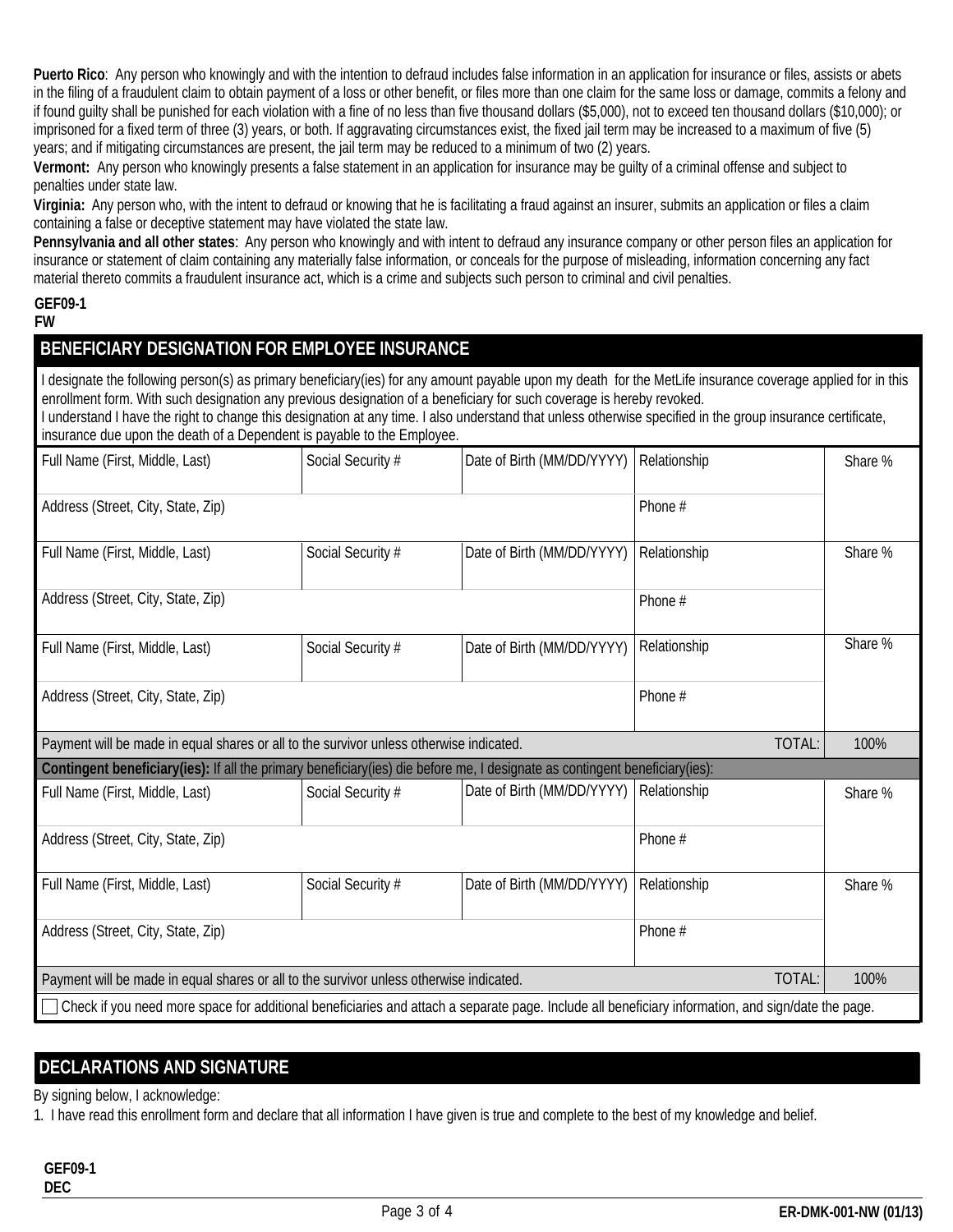**Puerto Rico**: Any person who knowingly and with the intention to defraud includes false information in an application for insurance or files, assists or abets in the filing of a fraudulent claim to obtain payment of a loss or other benefit, or files more than one claim for the same loss or damage, commits a felony and if found guilty shall be punished for each violation with a fine of no less than five thousand dollars (\$5,000), not to exceed ten thousand dollars (\$10,000); or imprisoned for a fixed term of three (3) years, or both. If aggravating circumstances exist, the fixed jail term may be increased to a maximum of five (5) years; and if mitigating circumstances are present, the jail term may be reduced to a minimum of two (2) years.

**Vermont:** Any person who knowingly presents a false statement in an application for insurance may be guilty of a criminal offense and subject to penalties under state law.

**Virginia:** Any person who, with the intent to defraud or knowing that he is facilitating a fraud against an insurer, submits an application or files a claim containing a false or deceptive statement may have violated the state law.

**Pennsylvania and all other states**: Any person who knowingly and with intent to defraud any insurance company or other person files an application for insurance or statement of claim containing any materially false information, or conceals for the purpose of misleading, information concerning any fact material thereto commits a fraudulent insurance act, which is a crime and subjects such person to criminal and civil penalties.

#### **GEF09-1 FW**

# **BENEFICIARY DESIGNATION FOR EMPLOYEE INSURANCE**

I designate the following person(s) as primary beneficiary(ies) for any amount payable upon my death for the MetLife insurance coverage applied for in this enrollment form. With such designation any previous designation of a beneficiary for such coverage is hereby revoked.

I understand I have the right to change this designation at any time. I also understand that unless otherwise specified in the group insurance certificate, insurance due upon the death of a Dependent is payable to the Employee.

| Full Name (First, Middle, Last)                                                                                                                    | Social Security # | Date of Birth (MM/DD/YYYY) | Relationship | Share % |  |
|----------------------------------------------------------------------------------------------------------------------------------------------------|-------------------|----------------------------|--------------|---------|--|
| Address (Street, City, State, Zip)                                                                                                                 |                   |                            | Phone #      |         |  |
| Full Name (First, Middle, Last)                                                                                                                    | Social Security # | Date of Birth (MM/DD/YYYY) | Relationship | Share % |  |
| Address (Street, City, State, Zip)                                                                                                                 |                   |                            | Phone #      |         |  |
| Full Name (First, Middle, Last)                                                                                                                    | Social Security # | Date of Birth (MM/DD/YYYY) | Relationship | Share % |  |
| Address (Street, City, State, Zip)                                                                                                                 |                   |                            | Phone #      |         |  |
| Payment will be made in equal shares or all to the survivor unless otherwise indicated.                                                            |                   |                            | TOTAL:       | 100%    |  |
| Contingent beneficiary(ies): If all the primary beneficiary(ies) die before me, I designate as contingent beneficiary(ies):                        |                   |                            |              |         |  |
| Full Name (First, Middle, Last)                                                                                                                    | Social Security # | Date of Birth (MM/DD/YYYY) | Relationship | Share % |  |
| Address (Street, City, State, Zip)                                                                                                                 |                   |                            | Phone #      |         |  |
| Full Name (First, Middle, Last)                                                                                                                    | Social Security # | Date of Birth (MM/DD/YYYY) | Relationship | Share % |  |
| Address (Street, City, State, Zip)                                                                                                                 |                   |                            | Phone #      |         |  |
| <b>TOTAL:</b><br>Payment will be made in equal shares or all to the survivor unless otherwise indicated.                                           |                   |                            |              | 100%    |  |
| Check if you need more space for additional beneficiaries and attach a separate page. Include all beneficiary information, and sign/date the page. |                   |                            |              |         |  |

# **DECLARATIONS AND SIGNATURE**

By signing below, I acknowledge:

1. I have read this enrollment form and declare that all information I have given is true and complete to the best of my knowledge and belief.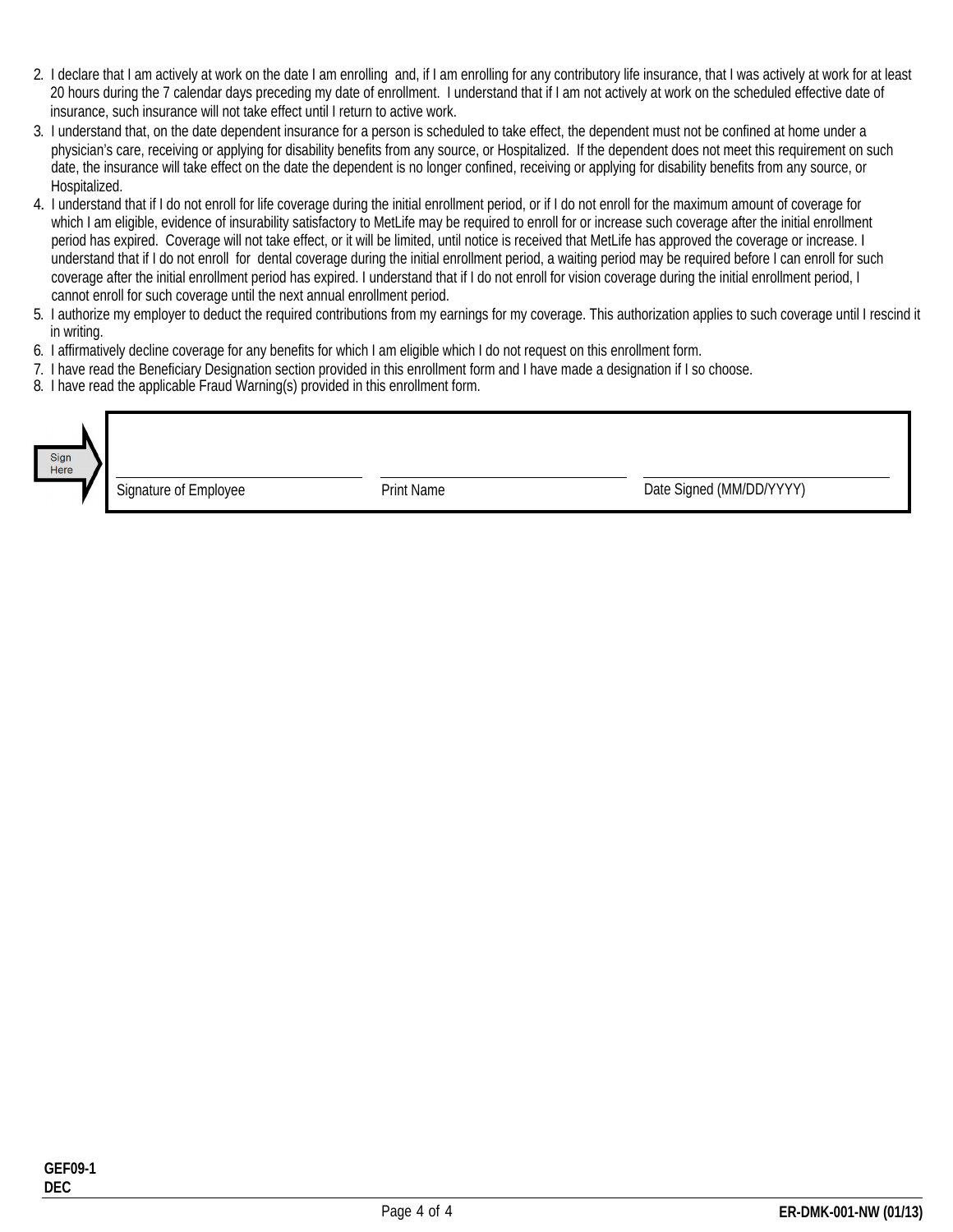- 2. I declare that I am actively at work on the date I am enrolling and, if I am enrolling for any contributory life insurance, that I was actively at work for at least 20 hours during the 7 calendar days preceding my date of enrollment. I understand that if I am not actively at work on the scheduled effective date of insurance, such insurance will not take effect until I return to active work.
- 3. I understand that, on the date dependent insurance for a person is scheduled to take effect, the dependent must not be confined at home under a physician's care, receiving or applying for disability benefits from any source, or Hospitalized. If the dependent does not meet this requirement on such date, the insurance will take effect on the date the dependent is no longer confined, receiving or applying for disability benefits from any source, or Hospitalized.
- 4. I understand that if I do not enroll for life coverage during the initial enrollment period, or if I do not enroll for the maximum amount of coverage for which I am eligible, evidence of insurability satisfactory to MetLife may be required to enroll for or increase such coverage after the initial enrollment period has expired. Coverage will not take effect, or it will be limited, until notice is received that MetLife has approved the coverage or increase. I understand that if I do not enroll for dental coverage during the initial enrollment period, a waiting period may be required before I can enroll for such coverage after the initial enrollment period has expired. I understand that if I do not enroll for vision coverage during the initial enrollment period, I cannot enroll for such coverage until the next annual enrollment period.
- 5. I authorize my employer to deduct the required contributions from my earnings for my coverage. This authorization applies to such coverage until I rescind it in writing. 6. I authorize my employer to deduct the required contributions from my earnings for my coverage. This authorization applies<br>in writing.<br>6. I affirmatively decline coverage for any benefits for which I am eligible which I
- in writing.<br>6. I affirmatively decline coverage for any benefits for which I am eligible which I do<br>7. I have read the Beneficiary Designation section provided in this enrollment form.<br>8. I have read the applicable Fraud W
- 7. I have read the Beneficiary Designation section provided in this enrollment form and I have made a designation if I so choose.<br>8. I have read the applicable Fraud Warning(s) provided in this enrollment form.
- 

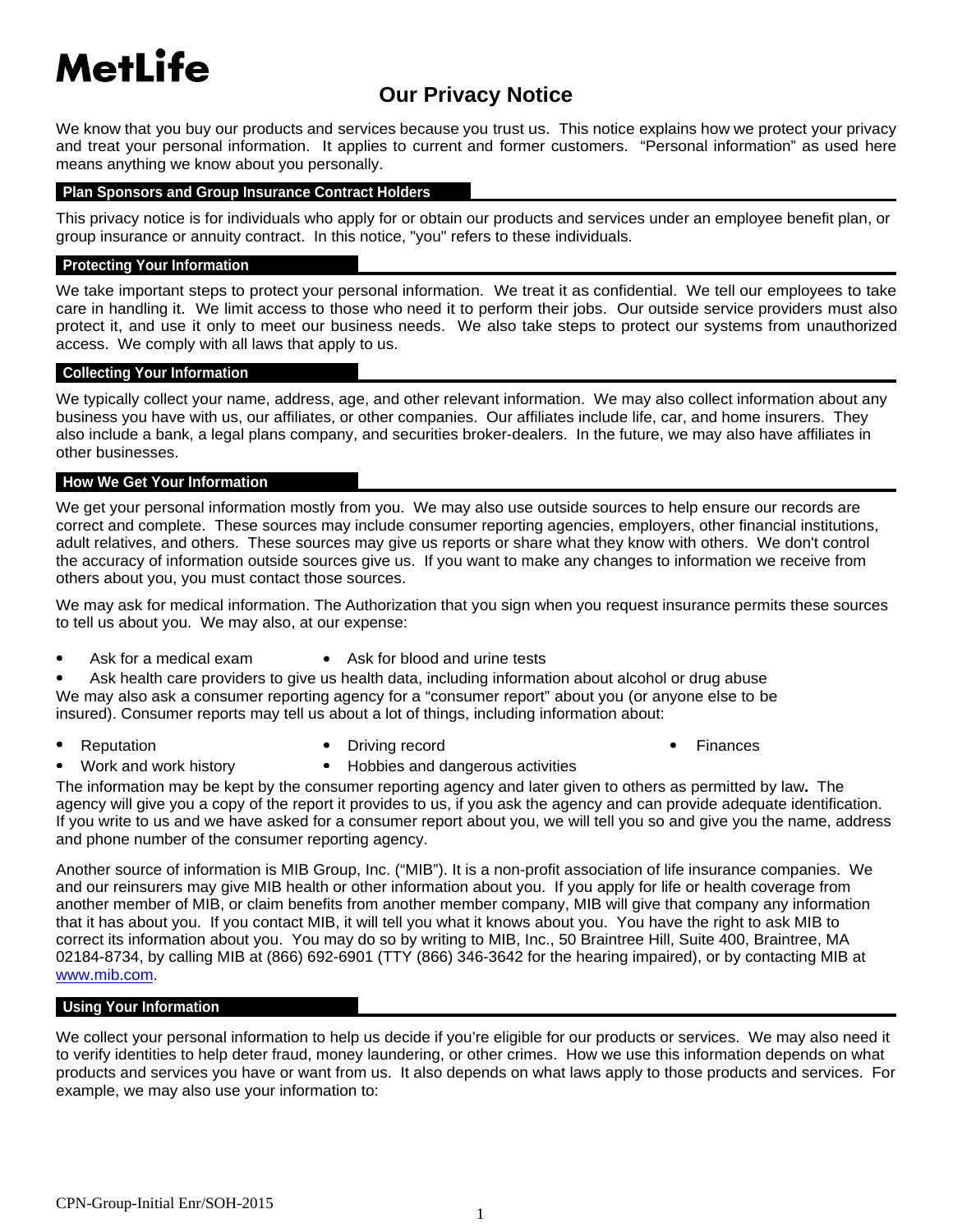# **MetLife**

# **Our Privacy Notice**

We know that you buy our products and services because you trust us. This notice explains how we protect your privacy and treat your personal information. It applies to current and former customers. "Personal information" as used here means anything we know about you personally.

#### **Plan Sponsors and Group Insurance Contract Holders**

This privacy notice is for individuals who apply for or obtain our products and services under an employee benefit plan, or group insurance or annuity contract. In this notice, "you" refers to these individuals.

#### **Protecting Your Information**

We take important steps to protect your personal information. We treat it as confidential. We tell our employees to take care in handling it. We limit access to those who need it to perform their jobs. Our outside service providers must also protect it, and use it only to meet our business needs. We also take steps to protect our systems from unauthorized access. We comply with all laws that apply to us.

#### **Collecting Your Information**

We typically collect your name, address, age, and other relevant information. We may also collect information about any business you have with us, our affiliates, or other companies. Our affiliates include life, car, and home insurers. They also include a bank, a legal plans company, and securities broker-dealers. In the future, we may also have affiliates in other businesses.

#### **How We Get Your Information**

We get your personal information mostly from you. We may also use outside sources to help ensure our records are correct and complete. These sources may include consumer reporting agencies, employers, other financial institutions, adult relatives, and others. These sources may give us reports or share what they know with others. We don't control the accuracy of information outside sources give us. If you want to make any changes to information we receive from others about you, you must contact those sources.

We may ask for medical information. The Authorization that you sign when you request insurance permits these sources to tell us about you. We may also, at our expense:

Ask for a medical exam • Ask for blood and urine tests

Ask health care providers to give us health data, including information about alcohol or drug abuse We may also ask a consumer reporting agency for a "consumer report" about you (or anyone else to be insured). Consumer reports may tell us about a lot of things, including information about:

- 
- Reputation **Constant Constant Constant Constant Constant Constant Constant Constant Constant Constant Constant Constant Constant Constant Constant Constant Constant Constant Constant Constant Constant Constant Constant Con** 
	-

- - Work and work history **•** Hobbies and dangerous activities

The information may be kept by the consumer reporting agency and later given to others as permitted by law**.** The agency will give you a copy of the report it provides to us, if you ask the agency and can provide adequate identification. If you write to us and we have asked for a consumer report about you, we will tell you so and give you the name, address and phone number of the consumer reporting agency.

Another source of information is MIB Group, Inc. ("MIB"). It is a non-profit association of life insurance companies. We and our reinsurers may give MIB health or other information about you. If you apply for life or health coverage from another member of MIB, or claim benefits from another member company, MIB will give that company any information that it has about you. If you contact MIB, it will tell you what it knows about you. You have the right to ask MIB to correct its information about you. You may do so by writing to MIB, Inc., 50 Braintree Hill, Suite 400, Braintree, MA 02184-8734, by calling MIB at (866) 692-6901 (TTY (866) 346-3642 for the hearing impaired), or by contacting MIB at www.mib.com.

#### **Using Your Information**

We collect your personal information to help us decide if you're eligible for our products or services. We may also need it to verify identities to help deter fraud, money laundering, or other crimes. How we use this information depends on what products and services you have or want from us. It also depends on what laws apply to those products and services. For example, we may also use your information to: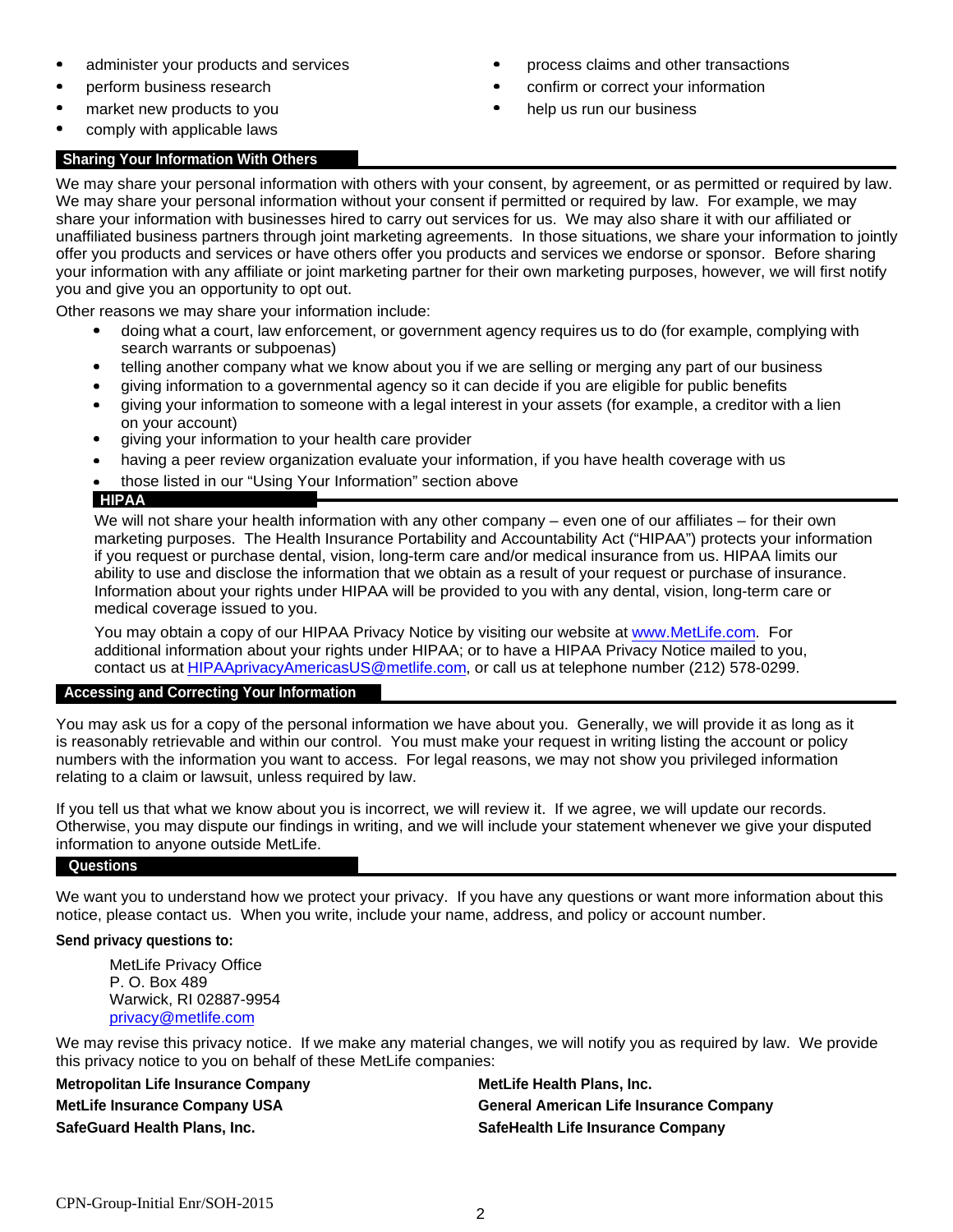- 
- 
- 
- comply with applicable laws

#### **Sharing Your Information With Others**

- administer your products and services process of a process claims and other transactions
- perform business research example that the confirm or correct your information
- market new products to you help us run our business

We may share your personal information with others with your consent, by agreement, or as permitted or required by law. We may share your personal information without your consent if permitted or required by law. For example, we may share your information with businesses hired to carry out services for us. We may also share it with our affiliated or unaffiliated business partners through joint marketing agreements. In those situations, we share your information to jointly offer you products and services or have others offer you products and services we endorse or sponsor. Before sharing your information with any affiliate or joint marketing partner for their own marketing purposes, however, we will first notify you and give you an opportunity to opt out.

Other reasons we may share your information include:

- $\bullet$ doing what a court, law enforcement, or government agency requires us to do (for example, complying with search warrants or subpoenas)
- telling another company what we know about you if we are selling or merging any part of our business  $\bullet$
- giving information to a governmental agency so it can decide if you are eligible for public benefits
- giving your information to someone with a legal interest in your assets (for example, a creditor with a lien on your account)
- $\bullet$ giving your information to your health care provider
- having a peer review organization evaluate your information, if you have health coverage with us  $\bullet$
- those listed in our "Using Your Information" section above

#### **HIPAA**

We will not share your health information with any other company – even one of our affiliates – for their own marketing purposes. The Health Insurance Portability and Accountability Act ("HIPAA") protects your information if you request or purchase dental, vision, long-term care and/or medical insurance from us. HIPAA limits our ability to use and disclose the information that we obtain as a result of your request or purchase of insurance. Information about your rights under HIPAA will be provided to you with any dental, vision, long-term care or medical coverage issued to you.

additional information about your rights under HIPAA; or to have a HIPAA Privacy Notice mailed to you, contact us at HIPAAprivacyAmericasUS@metlife.com, or call us at telephone number (212) 578-0299. You may obtain a copy of our HIPAA Privacy Notice by visiting our website at www.MetLife.com. For

#### **Accessing and Correcting Your Information**

You may ask us for a copy of the personal information we have about you. Generally, we will provide it as long as it is reasonably retrievable and within our control. You must make your request in writing listing the account or policy numbers with the information you want to access. For legal reasons, we may not show you privileged information relating to a claim or lawsuit, unless required by law.

If you tell us that what we know about you is incorrect, we will review it. If we agree, we will update our records. Otherwise, you may dispute our findings in writing, and we will include your statement whenever we give your disputed information to anyone outside MetLife.

#### **Questions**

We want you to understand how we protect your privacy. If you have any questions or want more information about this notice, please contact us. When you write, include your name, address, and policy or account number.

#### **Send privacy questions to:**

MetLife Privacy Office P. O. Box 489 Warwick, RI 02887-9954 privacy@metlife.com

We may revise this privacy notice. If we make any material changes, we will notify you as required by law. We provide this privacy notice to you on behalf of these MetLife companies:

**Metropolitan Life Insurance Company MetLife Health Plans, Inc. SafeGuard Health Plans, Inc. SafeHealth Life Insurance Company**

**MetLife Insurance Company USA General American Life Insurance Company**